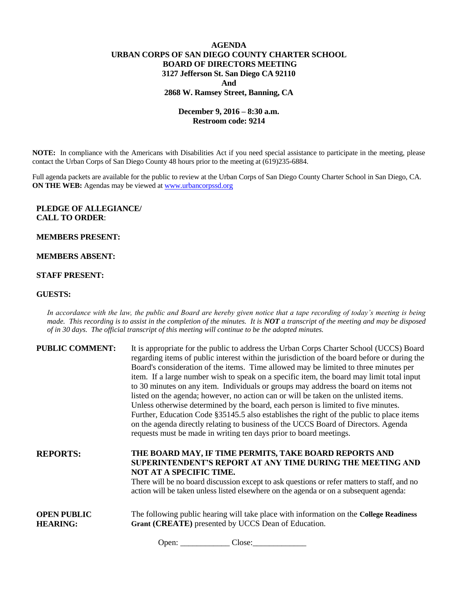# **AGENDA URBAN CORPS OF SAN DIEGO COUNTY CHARTER SCHOOL BOARD OF DIRECTORS MEETING 3127 Jefferson St. San Diego CA 92110 And 2868 W. Ramsey Street, Banning, CA**

# **December 9, 2016 – 8:30 a.m. Restroom code: 9214**

**NOTE:** In compliance with the Americans with Disabilities Act if you need special assistance to participate in the meeting, please contact the Urban Corps of San Diego County 48 hours prior to the meeting at (619)235-6884.

Full agenda packets are available for the public to review at the Urban Corps of San Diego County Charter School in San Diego, CA. **ON THE WEB:** Agendas may be viewed at [www.urbancorpssd.org](http://www.urbancorpssd.org/)

## **PLEDGE OF ALLEGIANCE/ CALL TO ORDER**:

### **MEMBERS PRESENT:**

### **MEMBERS ABSENT:**

### **STAFF PRESENT:**

#### **GUESTS:**

*In accordance with the law, the public and Board are hereby given notice that a tape recording of today's meeting is being made. This recording is to assist in the completion of the minutes. It is NOT a transcript of the meeting and may be disposed of in 30 days. The official transcript of this meeting will continue to be the adopted minutes.*

**PUBLIC COMMENT:** It is appropriate for the public to address the Urban Corps Charter School (UCCS) Board

|                                       | regarding items of public interest within the jurisdiction of the board before or during the<br>Board's consideration of the items. Time allowed may be limited to three minutes per<br>item. If a large number wish to speak on a specific item, the board may limit total input<br>to 30 minutes on any item. Individuals or groups may address the board on items not<br>listed on the agenda; however, no action can or will be taken on the unlisted items.<br>Unless otherwise determined by the board, each person is limited to five minutes.<br>Further, Education Code §35145.5 also establishes the right of the public to place items<br>on the agenda directly relating to business of the UCCS Board of Directors. Agenda<br>requests must be made in writing ten days prior to board meetings. |
|---------------------------------------|---------------------------------------------------------------------------------------------------------------------------------------------------------------------------------------------------------------------------------------------------------------------------------------------------------------------------------------------------------------------------------------------------------------------------------------------------------------------------------------------------------------------------------------------------------------------------------------------------------------------------------------------------------------------------------------------------------------------------------------------------------------------------------------------------------------|
| <b>REPORTS:</b>                       | THE BOARD MAY, IF TIME PERMITS, TAKE BOARD REPORTS AND<br>SUPERINTENDENT'S REPORT AT ANY TIME DURING THE MEETING AND<br>NOT AT A SPECIFIC TIME.<br>There will be no board discussion except to ask questions or refer matters to staff, and no<br>action will be taken unless listed elsewhere on the agenda or on a subsequent agenda:                                                                                                                                                                                                                                                                                                                                                                                                                                                                       |
| <b>OPEN PUBLIC</b><br><b>HEARING:</b> | The following public hearing will take place with information on the College Readiness<br>Grant (CREATE) presented by UCCS Dean of Education.                                                                                                                                                                                                                                                                                                                                                                                                                                                                                                                                                                                                                                                                 |

Open: \_\_\_\_\_\_\_\_\_\_\_\_ Close:\_\_\_\_\_\_\_\_\_\_\_\_\_